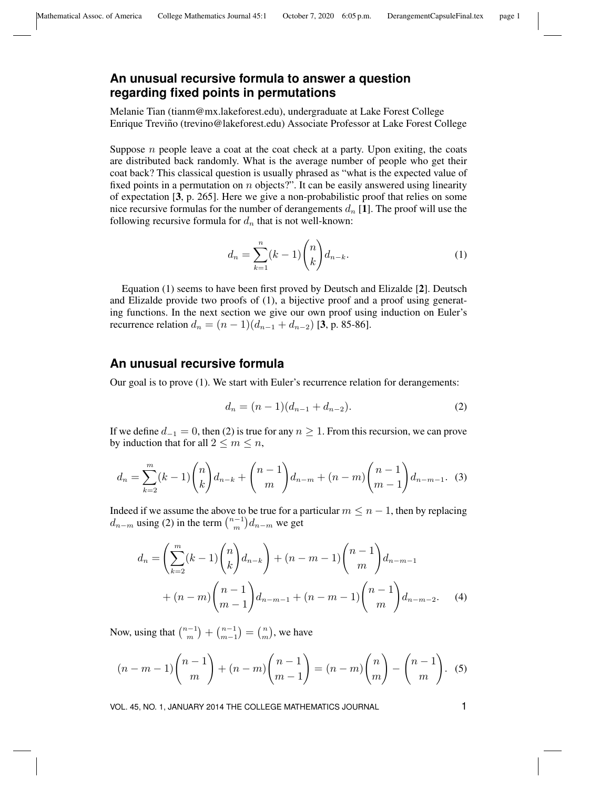## **An unusual recursive formula to answer a question regarding fixed points in permutations**

Melanie Tian (tianm@mx.lakeforest.edu), undergraduate at Lake Forest College Enrique Trevino (trevino@lakeforest.edu) Associate Professor at Lake Forest College ˜

Suppose  $n$  people leave a coat at the coat check at a party. Upon exiting, the coats are distributed back randomly. What is the average number of people who get their coat back? This classical question is usually phrased as "what is the expected value of fixed points in a permutation on  $n$  objects?". It can be easily answered using linearity of expectation [3, p. 265]. Here we give a non-probabilistic proof that relies on some nice recursive formulas for the number of derangements  $d_n$  [1]. The proof will use the following recursive formula for  $d_n$  that is not well-known:

$$
d_n = \sum_{k=1}^n (k-1) \binom{n}{k} d_{n-k}.\tag{1}
$$

Equation (1) seems to have been first proved by Deutsch and Elizalde [2]. Deutsch and Elizalde provide two proofs of (1), a bijective proof and a proof using generating functions. In the next section we give our own proof using induction on Euler's recurrence relation  $d_n = (n-1)(d_{n-1} + d_{n-2})$  [3, p. 85-86].

## **An unusual recursive formula**

Our goal is to prove (1). We start with Euler's recurrence relation for derangements:

$$
d_n = (n-1)(d_{n-1} + d_{n-2}).
$$
\n(2)

If we define  $d_{-1} = 0$ , then (2) is true for any  $n \ge 1$ . From this recursion, we can prove by induction that for all  $2 \le m \le n$ ,

$$
d_n = \sum_{k=2}^{m} (k-1) {n \choose k} d_{n-k} + {n-1 \choose m} d_{n-m} + (n-m) {n-1 \choose m-1} d_{n-m-1}.
$$
 (3)

Indeed if we assume the above to be true for a particular  $m \leq n - 1$ , then by replacing  $d_{n-m}$  using (2) in the term  $\binom{n-1}{m}$  $\binom{n-1}{m}$  d<sub>n−m</sub> we get

$$
d_n = \left(\sum_{k=2}^m (k-1) \binom{n}{k} d_{n-k}\right) + (n-m-1) \binom{n-1}{m} d_{n-m-1}
$$
  
+  $(n-m) \binom{n-1}{m-1} d_{n-m-1} + (n-m-1) \binom{n-1}{m} d_{n-m-2}.$  (4)

Now, using that  $\binom{n-1}{m}$  $\binom{n-1}{m-1} + \binom{n-1}{m-1}$  $\binom{n-1}{m-1} = \binom{n}{m}$  $\binom{n}{m}$ , we have

$$
(n-m-1)\binom{n-1}{m} + (n-m)\binom{n-1}{m-1} = (n-m)\binom{n}{m} - \binom{n-1}{m}.
$$
 (5)

VOL. 45, NO. 1, JANUARY 2014 THE COLLEGE MATHEMATICS JOURNAL 1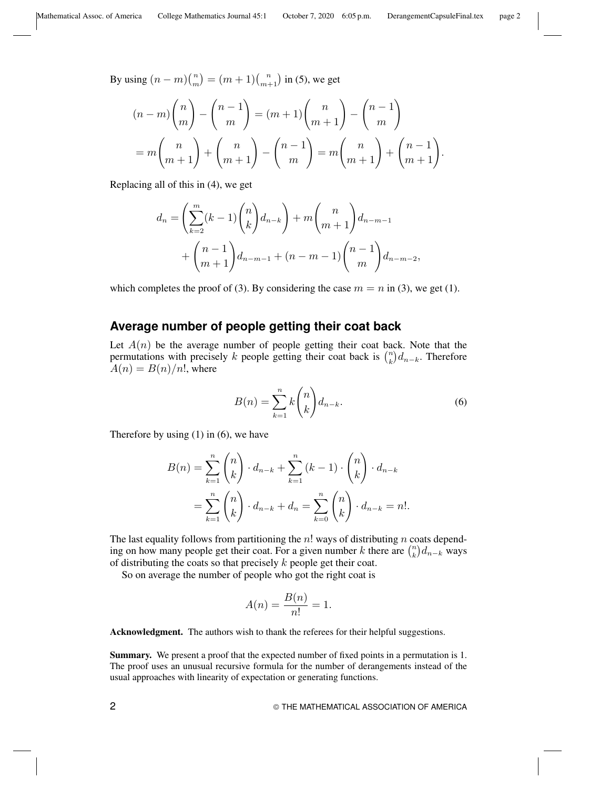By using  $(n-m)$  $\binom{n}{m}$  $\binom{n}{m} = (m+1)\binom{n}{m+1}$  $\binom{n}{m+1}$  in (5), we get

$$
(n-m)\binom{n}{m} - \binom{n-1}{m} = (m+1)\binom{n}{m+1} - \binom{n-1}{m}
$$

$$
= m\binom{n}{m+1} + \binom{n}{m+1} - \binom{n-1}{m} = m\binom{n}{m+1} + \binom{n-1}{m+1}.
$$

Replacing all of this in (4), we get

$$
d_n = \left(\sum_{k=2}^m (k-1) \binom{n}{k} d_{n-k}\right) + m \binom{n}{m+1} d_{n-m-1} + \binom{n-1}{m+1} d_{n-m-2},
$$

which completes the proof of (3). By considering the case  $m = n$  in (3), we get (1).

## **Average number of people getting their coat back**

Let  $A(n)$  be the average number of people getting their coat back. Note that the permutations with precisely k people getting their coat back is  $\binom{n}{k}$  $\binom{n}{k}$  $d_{n-k}$ . Therefore  $A(n) = B(n)/n!$ , where

$$
B(n) = \sum_{k=1}^{n} k \binom{n}{k} d_{n-k}.
$$
 (6)

Therefore by using  $(1)$  in  $(6)$ , we have

$$
B(n) = \sum_{k=1}^{n} {n \choose k} \cdot d_{n-k} + \sum_{k=1}^{n} (k-1) \cdot {n \choose k} \cdot d_{n-k}
$$
  
= 
$$
\sum_{k=1}^{n} {n \choose k} \cdot d_{n-k} + d_n = \sum_{k=0}^{n} {n \choose k} \cdot d_{n-k} = n!.
$$

The last equality follows from partitioning the  $n!$  ways of distributing n coats depending on how many people get their coat. For a given number k there are  $\binom{n}{k}$  $_{k}^{\left( n\right) }d_{n-k}$  ways of distributing the coats so that precisely  $k$  people get their coat.

So on average the number of people who got the right coat is

$$
A(n) = \frac{B(n)}{n!} = 1.
$$

Acknowledgment. The authors wish to thank the referees for their helpful suggestions.

Summary. We present a proof that the expected number of fixed points in a permutation is 1. The proof uses an unusual recursive formula for the number of derangements instead of the usual approaches with linearity of expectation or generating functions.